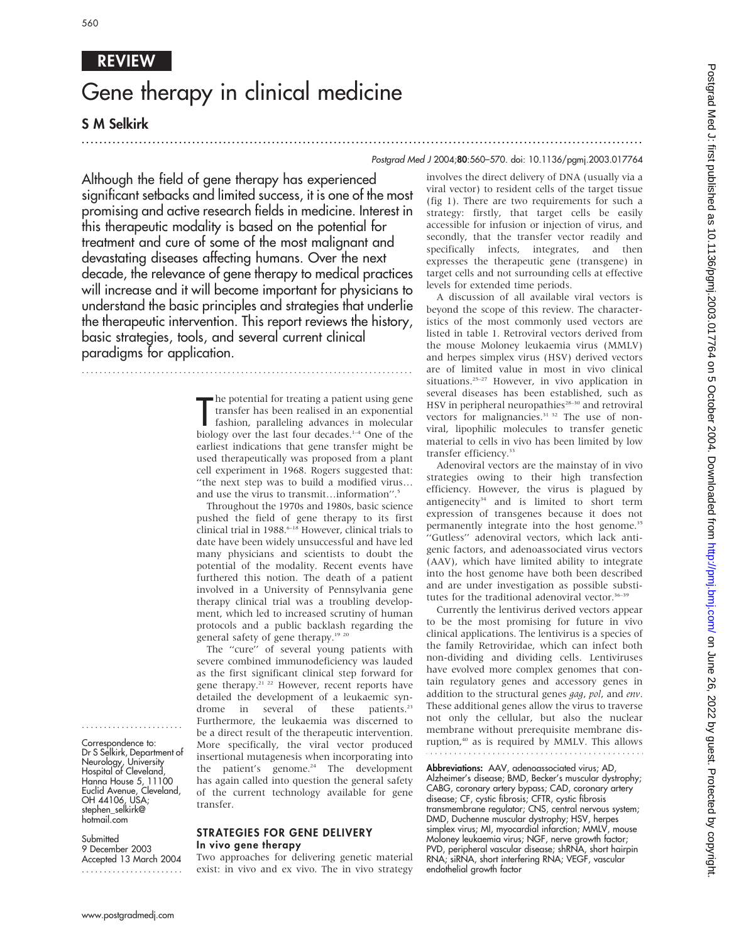## REVIEW

# Gene therapy in clinical medicine

## S M Selkirk

# Postgrad Med J 2004;80:560–570. doi: 10.1136/pgmj.2003.017764

Although the field of gene therapy has experienced significant setbacks and limited success, it is one of the most promising and active research fields in medicine. Interest in this therapeutic modality is based on the potential for treatment and cure of some of the most malignant and devastating diseases affecting humans. Over the next decade, the relevance of gene therapy to medical practices will increase and it will become important for physicians to understand the basic principles and strategies that underlie the therapeutic intervention. This report reviews the history, basic strategies, tools, and several current clinical paradigms for application.

...........................................................................

The potential for treating a patient using gene<br>transfer has been realised in an exponential<br>fashion, paralleling advances in molecular<br>biology over the last four decades.<sup>1-4</sup> One of the he potential for treating a patient using gene transfer has been realised in an exponential fashion, paralleling advances in molecular earliest indications that gene transfer might be used therapeutically was proposed from a plant cell experiment in 1968. Rogers suggested that: ''the next step was to build a modified virus… and use the virus to transmit…information''.5

...............................................................................................................................

Throughout the 1970s and 1980s, basic science pushed the field of gene therapy to its first clinical trial in 1988.<sup>6-18</sup> However, clinical trials to date have been widely unsuccessful and have led many physicians and scientists to doubt the potential of the modality. Recent events have furthered this notion. The death of a patient involved in a University of Pennsylvania gene therapy clinical trial was a troubling development, which led to increased scrutiny of human protocols and a public backlash regarding the general safety of gene therapy.<sup>19 20</sup>

The ''cure'' of several young patients with severe combined immunodeficiency was lauded as the first significant clinical step forward for gene therapy.<sup>21 22</sup> However, recent reports have detailed the development of a leukaemic syndrome in several of these patients.<sup>23</sup> Furthermore, the leukaemia was discerned to be a direct result of the therapeutic intervention. More specifically, the viral vector produced insertional mutagenesis when incorporating into the patient's genome. $24$  The development has again called into question the general safety of the current technology available for gene transfer.

Correspondence to: Dr S Selkirk, Department of Neurology, University Hospital of Cleveland, Hanna House 5, 11100 Euclid Avenue, Cleveland, OH 44106, USA; stephen\_selkirk@ hotmail.com

.......................

**Submitted** 9 December 2003 Accepted 13 March 2004 .......................

#### STRATEGIES FOR GENE DELIVERY In vivo gene therapy

Two approaches for delivering genetic material exist: in vivo and ex vivo. The in vivo strategy

involves the direct delivery of DNA (usually via a viral vector) to resident cells of the target tissue (fig 1). There are two requirements for such a strategy: firstly, that target cells be easily accessible for infusion or injection of virus, and secondly, that the transfer vector readily and specifically infects, integrates, and then expresses the therapeutic gene (transgene) in target cells and not surrounding cells at effective levels for extended time periods.

A discussion of all available viral vectors is beyond the scope of this review. The characteristics of the most commonly used vectors are listed in table 1. Retroviral vectors derived from the mouse Moloney leukaemia virus (MMLV) and herpes simplex virus (HSV) derived vectors are of limited value in most in vivo clinical situations.<sup>25-27</sup> However, in vivo application in several diseases has been established, such as HSV in peripheral neuropathies<sup>28-30</sup> and retroviral vectors for malignancies.<sup>31 32</sup> The use of nonviral, lipophilic molecules to transfer genetic material to cells in vivo has been limited by low transfer efficiency.<sup>33</sup>

Adenoviral vectors are the mainstay of in vivo strategies owing to their high transfection efficiency. However, the virus is plagued by antigenecity<sup>34</sup> and is limited to short term expression of transgenes because it does not permanently integrate into the host genome.<sup>35</sup> ''Gutless'' adenoviral vectors, which lack antigenic factors, and adenoassociated virus vectors (AAV), which have limited ability to integrate into the host genome have both been described and are under investigation as possible substitutes for the traditional adenoviral vector.<sup>36-39</sup>

Currently the lentivirus derived vectors appear to be the most promising for future in vivo clinical applications. The lentivirus is a species of the family Retroviridae, which can infect both non-dividing and dividing cells. Lentiviruses have evolved more complex genomes that contain regulatory genes and accessory genes in addition to the structural genes gag, pol, and env. These additional genes allow the virus to traverse not only the cellular, but also the nuclear membrane without prerequisite membrane disruption,<sup>40</sup> as is required by MMLV. This allows 

Abbreviations: AAV, adenoassociated virus; AD, Alzheimer's disease; BMD, Becker's muscular dystrophy; CABG, coronary artery bypass; CAD, coronary artery disease; CF, cystic fibrosis; CFTR, cystic fibrosis transmembrane regulator; CNS, central nervous system; DMD, Duchenne muscular dystrophy; HSV, herpes simplex virus; MI, myocardial infarction; MMLV, mouse Moloney leukaemia virus; NGF, nerve growth factor; PVD, peripheral vascular disease; shRNA, short hairpin RNA; siRNA, short interfering RNA; VEGF, vascular endothelial growth factor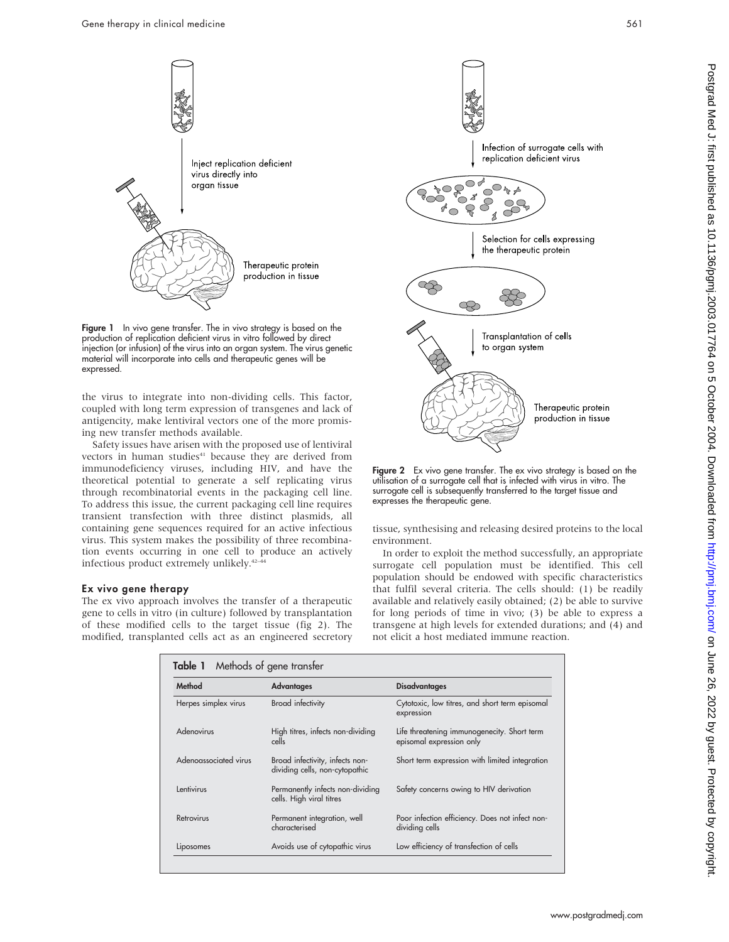



Figure 1 In vivo gene transfer. The in vivo strategy is based on the production of replication deficient virus in vitro followed by direct injection (or infusion) of the virus into an organ system. The virus genetic material will incorporate into cells and therapeutic genes will be expressed.

the virus to integrate into non-dividing cells. This factor, coupled with long term expression of transgenes and lack of antigencity, make lentiviral vectors one of the more promising new transfer methods available.

Safety issues have arisen with the proposed use of lentiviral vectors in human studies<sup>41</sup> because they are derived from immunodeficiency viruses, including HIV, and have the theoretical potential to generate a self replicating virus through recombinatorial events in the packaging cell line. To address this issue, the current packaging cell line requires transient transfection with three distinct plasmids, all containing gene sequences required for an active infectious virus. This system makes the possibility of three recombination events occurring in one cell to produce an actively infectious product extremely unlikely.42–44

#### Ex vivo gene therapy

The ex vivo approach involves the transfer of a therapeutic gene to cells in vitro (in culture) followed by transplantation of these modified cells to the target tissue (fig 2). The modified, transplanted cells act as an engineered secretory



Figure 2 Ex vivo gene transfer. The ex vivo strategy is based on the utilisation of a surrogate cell that is infected with virus in vitro. The surrogate cell is subsequently transferred to the target tissue and expresses the therapeutic gene.

tissue, synthesising and releasing desired proteins to the local environment.

In order to exploit the method successfully, an appropriate surrogate cell population must be identified. This cell population should be endowed with specific characteristics that fulfil several criteria. The cells should: (1) be readily available and relatively easily obtained; (2) be able to survive for long periods of time in vivo; (3) be able to express a transgene at high levels for extended durations; and (4) and not elicit a host mediated immune reaction.

| Method                | <b>Advantages</b>                                                 | <b>Disadvantages</b>                                                    |
|-----------------------|-------------------------------------------------------------------|-------------------------------------------------------------------------|
| Herpes simplex virus  | <b>Broad</b> infectivity                                          | Cytotoxic, low titres, and short term episomal<br>expression            |
| Adenovirus            | High titres, infects non-dividing<br>cells                        | Life threatening immunogenecity. Short term<br>episomal expression only |
| Adenoassociated virus | Broad infectivity, infects non-<br>dividing cells, non-cytopathic | Short term expression with limited integration                          |
| Lentivirus            | Permanently infects non-dividing<br>cells. High viral titres      | Safety concerns owing to HIV derivation                                 |
| Retrovirus            | Permanent integration, well<br>characterised                      | Poor infection efficiency. Does not infect non-<br>dividing cells       |
| Liposomes             | Avoids use of cytopathic virus                                    | Low efficiency of transfection of cells                                 |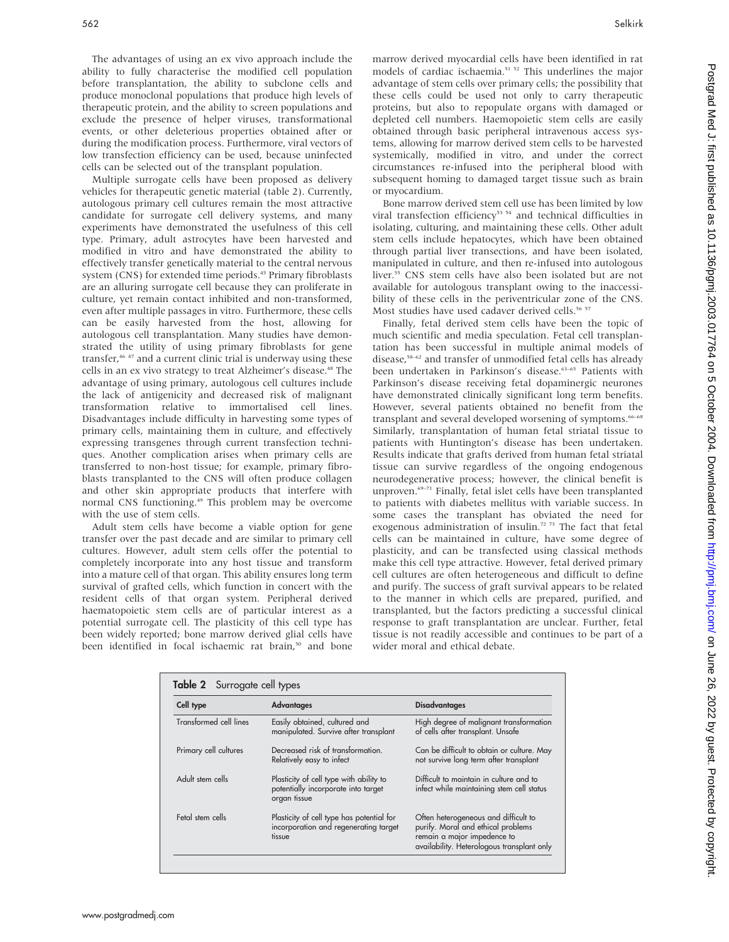The advantages of using an ex vivo approach include the ability to fully characterise the modified cell population before transplantation, the ability to subclone cells and produce monoclonal populations that produce high levels of therapeutic protein, and the ability to screen populations and exclude the presence of helper viruses, transformational events, or other deleterious properties obtained after or during the modification process. Furthermore, viral vectors of low transfection efficiency can be used, because uninfected cells can be selected out of the transplant population.

Multiple surrogate cells have been proposed as delivery vehicles for therapeutic genetic material (table 2). Currently, autologous primary cell cultures remain the most attractive candidate for surrogate cell delivery systems, and many experiments have demonstrated the usefulness of this cell type. Primary, adult astrocytes have been harvested and modified in vitro and have demonstrated the ability to effectively transfer genetically material to the central nervous system (CNS) for extended time periods.<sup>45</sup> Primary fibroblasts are an alluring surrogate cell because they can proliferate in culture, yet remain contact inhibited and non-transformed, even after multiple passages in vitro. Furthermore, these cells can be easily harvested from the host, allowing for autologous cell transplantation. Many studies have demonstrated the utility of using primary fibroblasts for gene transfer,<sup>46 47</sup> and a current clinic trial is underway using these cells in an ex vivo strategy to treat Alzheimer's disease.<sup>48</sup> The advantage of using primary, autologous cell cultures include the lack of antigenicity and decreased risk of malignant transformation relative to immortalised cell lines. Disadvantages include difficulty in harvesting some types of primary cells, maintaining them in culture, and effectively expressing transgenes through current transfection techniques. Another complication arises when primary cells are transferred to non-host tissue; for example, primary fibroblasts transplanted to the CNS will often produce collagen and other skin appropriate products that interfere with normal CNS functioning.<sup>49</sup> This problem may be overcome with the use of stem cells.

Adult stem cells have become a viable option for gene transfer over the past decade and are similar to primary cell cultures. However, adult stem cells offer the potential to completely incorporate into any host tissue and transform into a mature cell of that organ. This ability ensures long term survival of grafted cells, which function in concert with the resident cells of that organ system. Peripheral derived haematopoietic stem cells are of particular interest as a potential surrogate cell. The plasticity of this cell type has been widely reported; bone marrow derived glial cells have been identified in focal ischaemic rat brain,<sup>50</sup> and bone

marrow derived myocardial cells have been identified in rat models of cardiac ischaemia.<sup>51 52</sup> This underlines the major advantage of stem cells over primary cells; the possibility that these cells could be used not only to carry therapeutic proteins, but also to repopulate organs with damaged or depleted cell numbers. Haemopoietic stem cells are easily obtained through basic peripheral intravenous access systems, allowing for marrow derived stem cells to be harvested systemically, modified in vitro, and under the correct circumstances re-infused into the peripheral blood with subsequent homing to damaged target tissue such as brain or myocardium.

Bone marrow derived stem cell use has been limited by low viral transfection efficiency<sup>53 54</sup> and technical difficulties in isolating, culturing, and maintaining these cells. Other adult stem cells include hepatocytes, which have been obtained through partial liver transections, and have been isolated, manipulated in culture, and then re-infused into autologous liver.<sup>55</sup> CNS stem cells have also been isolated but are not available for autologous transplant owing to the inaccessibility of these cells in the periventricular zone of the CNS. Most studies have used cadaver derived cells.<sup>56 57</sup>

Finally, fetal derived stem cells have been the topic of much scientific and media speculation. Fetal cell transplantation has been successful in multiple animal models of disease,<sup>58–62</sup> and transfer of unmodified fetal cells has already been undertaken in Parkinson's disease.<sup>63-65</sup> Patients with Parkinson's disease receiving fetal dopaminergic neurones have demonstrated clinically significant long term benefits. However, several patients obtained no benefit from the transplant and several developed worsening of symptoms.<sup>66-68</sup> Similarly, transplantation of human fetal striatal tissue to patients with Huntington's disease has been undertaken. Results indicate that grafts derived from human fetal striatal tissue can survive regardless of the ongoing endogenous neurodegenerative process; however, the clinical benefit is unproven.<sup>69-71</sup> Finally, fetal islet cells have been transplanted to patients with diabetes mellitus with variable success. In some cases the transplant has obviated the need for exogenous administration of insulin.<sup>72 73</sup> The fact that fetal cells can be maintained in culture, have some degree of plasticity, and can be transfected using classical methods make this cell type attractive. However, fetal derived primary cell cultures are often heterogeneous and difficult to define and purify. The success of graft survival appears to be related to the manner in which cells are prepared, purified, and transplanted, but the factors predicting a successful clinical response to graft transplantation are unclear. Further, fetal tissue is not readily accessible and continues to be part of a wider moral and ethical debate.

| Cell type              | <b>Advantages</b>                                                                              | <b>Disadvantages</b>                                                                                                                                    |
|------------------------|------------------------------------------------------------------------------------------------|---------------------------------------------------------------------------------------------------------------------------------------------------------|
| Transformed cell lines | Easily obtained, cultured and<br>manipulated. Survive after transplant                         | High degree of malignant transformation<br>of cells after transplant. Unsafe                                                                            |
| Primary cell cultures  | Decreased risk of transformation.<br>Relatively easy to infect                                 | Can be difficult to obtain or culture. May<br>not survive long term after transplant                                                                    |
| Adult stem cells       | Plasticity of cell type with ability to<br>potentially incorporate into target<br>organ tissue | Difficult to maintain in culture and to<br>infect while maintaining stem cell status                                                                    |
| Fetal stem cells       | Plasticity of cell type has potential for<br>incorporation and regenerating target<br>tissue   | Often heterogeneous and difficult to<br>purify. Moral and ethical problems<br>remain a major impedence to<br>availability. Heterologous transplant only |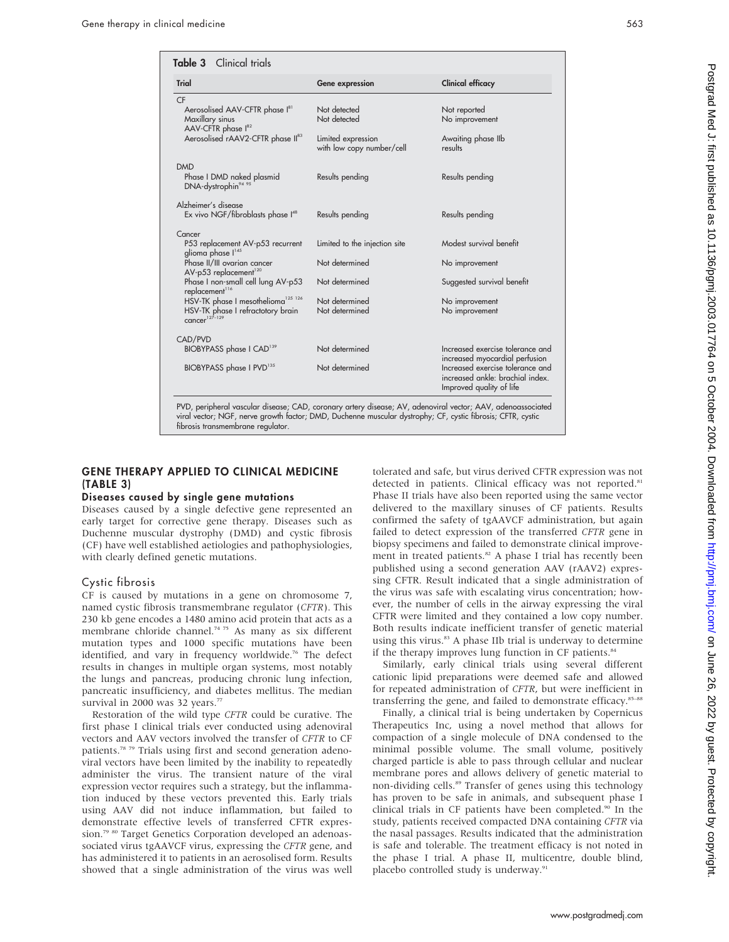| <b>Trial</b>                                                                        | Gene expression                                 | <b>Clinical efficacy</b>                                                                         |
|-------------------------------------------------------------------------------------|-------------------------------------------------|--------------------------------------------------------------------------------------------------|
| CF                                                                                  |                                                 |                                                                                                  |
| Aerosolised AAV-CFTR phase I <sup>81</sup><br>Maxillary sinus<br>AAV-CFTR phase l82 | Not detected<br>Not detected                    | Not reported<br>No improvement                                                                   |
| Aerosolised rAAV2-CFTR phase II <sup>83</sup>                                       | Limited expression<br>with low copy number/cell | Awaiting phase Ilb<br>results                                                                    |
| <b>DMD</b>                                                                          |                                                 |                                                                                                  |
| Phase I DMD naked plasmid<br>DNA-dystrophin <sup>94 95</sup>                        | Results pending                                 | Results pending                                                                                  |
| Alzheimer's disease<br>Ex vivo NGF/fibroblasts phase l <sup>48</sup>                | Results pending                                 | Results pending                                                                                  |
|                                                                                     |                                                 |                                                                                                  |
| Cancer                                                                              |                                                 |                                                                                                  |
| P53 replacement AV-p53 recurrent<br>glioma phase l'45                               | Limited to the injection site                   | Modest survival benefit                                                                          |
| Phase II/III ovarian cancer                                                         | Not determined                                  | No improvement                                                                                   |
| AV-p53 replacement <sup>120</sup><br>Phase I non-small cell lung AV-p53             | Not determined                                  | Suggested survival benefit                                                                       |
| replacement <sup>116</sup><br>HSV-TK phase I mesothelioma <sup>125 126</sup>        | Not determined                                  | No improvement                                                                                   |
| HSV-TK phase I refractotory brain<br>cancer <sup>127-129</sup>                      | Not determined                                  | No improvement                                                                                   |
| CAD/PVD                                                                             |                                                 |                                                                                                  |
| BIOBYPASS phase I CAD <sup>139</sup>                                                | Not determined                                  | Increased exercise tolerance and<br>increased myocardial perfusion                               |
| BIOBYPASS phase I PVD <sup>135</sup>                                                | Not determined                                  | Increased exercise tolerance and<br>increased ankle: brachial index.<br>Improved quality of life |

#### GENE THERAPY APPLIED TO CLINICAL MEDICINE (TABLE 3)

#### Diseases caused by single gene mutations

Diseases caused by a single defective gene represented an early target for corrective gene therapy. Diseases such as Duchenne muscular dystrophy (DMD) and cystic fibrosis (CF) have well established aetiologies and pathophysiologies, with clearly defined genetic mutations.

#### Cystic fibrosis

CF is caused by mutations in a gene on chromosome 7, named cystic fibrosis transmembrane regulator (CFTR). This 230 kb gene encodes a 1480 amino acid protein that acts as a membrane chloride channel.<sup>74 75</sup> As many as six different mutation types and 1000 specific mutations have been identified, and vary in frequency worldwide.<sup>76</sup> The defect results in changes in multiple organ systems, most notably the lungs and pancreas, producing chronic lung infection, pancreatic insufficiency, and diabetes mellitus. The median survival in 2000 was 32 years.<sup>77</sup>

Restoration of the wild type CFTR could be curative. The first phase I clinical trials ever conducted using adenoviral vectors and AAV vectors involved the transfer of CFTR to CF patients.78 79 Trials using first and second generation adenoviral vectors have been limited by the inability to repeatedly administer the virus. The transient nature of the viral expression vector requires such a strategy, but the inflammation induced by these vectors prevented this. Early trials using AAV did not induce inflammation, but failed to demonstrate effective levels of transferred CFTR expression.<sup>79 80</sup> Target Genetics Corporation developed an adenoassociated virus tgAAVCF virus, expressing the CFTR gene, and has administered it to patients in an aerosolised form. Results showed that a single administration of the virus was well tolerated and safe, but virus derived CFTR expression was not detected in patients. Clinical efficacy was not reported.<sup>81</sup> Phase II trials have also been reported using the same vector delivered to the maxillary sinuses of CF patients. Results confirmed the safety of tgAAVCF administration, but again failed to detect expression of the transferred CFTR gene in biopsy specimens and failed to demonstrate clinical improvement in treated patients.<sup>82</sup> A phase I trial has recently been published using a second generation AAV (rAAV2) expressing CFTR. Result indicated that a single administration of the virus was safe with escalating virus concentration; however, the number of cells in the airway expressing the viral CFTR were limited and they contained a low copy number. Both results indicate inefficient transfer of genetic material using this virus.<sup>83</sup> A phase IIb trial is underway to determine if the therapy improves lung function in CF patients.<sup>84</sup>

Similarly, early clinical trials using several different cationic lipid preparations were deemed safe and allowed for repeated administration of CFTR, but were inefficient in transferring the gene, and failed to demonstrate efficacy.<sup>85-88</sup>

Finally, a clinical trial is being undertaken by Copernicus Therapeutics Inc, using a novel method that allows for compaction of a single molecule of DNA condensed to the minimal possible volume. The small volume, positively charged particle is able to pass through cellular and nuclear membrane pores and allows delivery of genetic material to non-dividing cells.<sup>89</sup> Transfer of genes using this technology has proven to be safe in animals, and subsequent phase I clinical trials in CF patients have been completed.<sup>90</sup> In the study, patients received compacted DNA containing CFTR via the nasal passages. Results indicated that the administration is safe and tolerable. The treatment efficacy is not noted in the phase I trial. A phase II, multicentre, double blind, placebo controlled study is underway.<sup>91</sup>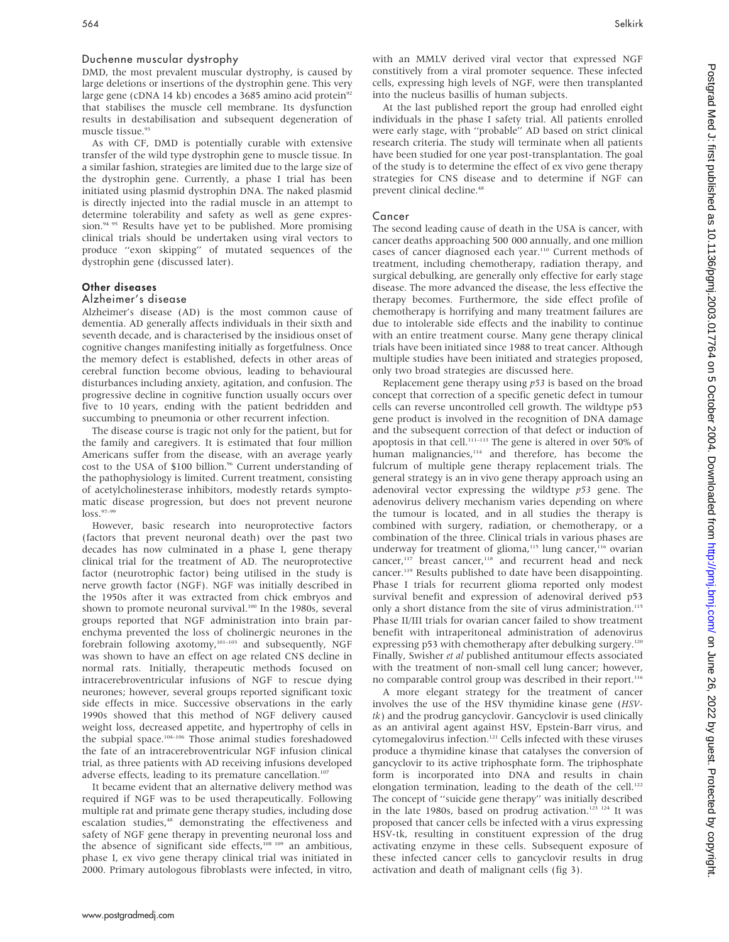#### Duchenne muscular dystrophy

DMD, the most prevalent muscular dystrophy, is caused by large deletions or insertions of the dystrophin gene. This very large gene (cDNA 14 kb) encodes a 3685 amino acid protein $2^2$ that stabilises the muscle cell membrane. Its dysfunction results in destabilisation and subsequent degeneration of muscle tissue.<sup>93</sup>

As with CF, DMD is potentially curable with extensive transfer of the wild type dystrophin gene to muscle tissue. In a similar fashion, strategies are limited due to the large size of the dystrophin gene. Currently, a phase I trial has been initiated using plasmid dystrophin DNA. The naked plasmid is directly injected into the radial muscle in an attempt to determine tolerability and safety as well as gene expression.<sup>94 95</sup> Results have yet to be published. More promising clinical trials should be undertaken using viral vectors to produce ''exon skipping'' of mutated sequences of the dystrophin gene (discussed later).

#### Other diseases

#### Alzheimer's disease

Alzheimer's disease (AD) is the most common cause of dementia. AD generally affects individuals in their sixth and seventh decade, and is characterised by the insidious onset of cognitive changes manifesting initially as forgetfulness. Once the memory defect is established, defects in other areas of cerebral function become obvious, leading to behavioural disturbances including anxiety, agitation, and confusion. The progressive decline in cognitive function usually occurs over five to 10 years, ending with the patient bedridden and succumbing to pneumonia or other recurrent infection.

The disease course is tragic not only for the patient, but for the family and caregivers. It is estimated that four million Americans suffer from the disease, with an average yearly cost to the USA of \$100 billion.<sup>96</sup> Current understanding of the pathophysiology is limited. Current treatment, consisting of acetylcholinesterase inhibitors, modestly retards symptomatic disease progression, but does not prevent neurone  $loss.^{\textrm{\tiny{97-99}}}$ 

However, basic research into neuroprotective factors (factors that prevent neuronal death) over the past two decades has now culminated in a phase I, gene therapy clinical trial for the treatment of AD. The neuroprotective factor (neurotrophic factor) being utilised in the study is nerve growth factor (NGF). NGF was initially described in the 1950s after it was extracted from chick embryos and shown to promote neuronal survival.<sup>100</sup> In the 1980s, several groups reported that NGF administration into brain parenchyma prevented the loss of cholinergic neurones in the forebrain following axotomy,<sup>101-103</sup> and subsequently, NGF was shown to have an effect on age related CNS decline in normal rats. Initially, therapeutic methods focused on intracerebroventricular infusions of NGF to rescue dying neurones; however, several groups reported significant toxic side effects in mice. Successive observations in the early 1990s showed that this method of NGF delivery caused weight loss, decreased appetite, and hypertrophy of cells in the subpial space.104–106 Those animal studies foreshadowed the fate of an intracerebroventricular NGF infusion clinical trial, as three patients with AD receiving infusions developed adverse effects, leading to its premature cancellation.<sup>107</sup>

It became evident that an alternative delivery method was required if NGF was to be used therapeutically. Following multiple rat and primate gene therapy studies, including dose escalation studies,<sup>48</sup> demonstrating the effectiveness and safety of NGF gene therapy in preventing neuronal loss and the absence of significant side effects,108 109 an ambitious, phase I, ex vivo gene therapy clinical trial was initiated in 2000. Primary autologous fibroblasts were infected, in vitro, with an MMLV derived viral vector that expressed NGF constitively from a viral promoter sequence. These infected cells, expressing high levels of NGF, were then transplanted into the nucleus basillis of human subjects.

At the last published report the group had enrolled eight individuals in the phase I safety trial. All patients enrolled were early stage, with ''probable'' AD based on strict clinical research criteria. The study will terminate when all patients have been studied for one year post-transplantation. The goal of the study is to determine the effect of ex vivo gene therapy strategies for CNS disease and to determine if NGF can prevent clinical decline.<sup>48</sup>

#### Cancer

The second leading cause of death in the USA is cancer, with cancer deaths approaching 500 000 annually, and one million cases of cancer diagnosed each year.<sup>110</sup> Current methods of treatment, including chemotherapy, radiation therapy, and surgical debulking, are generally only effective for early stage disease. The more advanced the disease, the less effective the therapy becomes. Furthermore, the side effect profile of chemotherapy is horrifying and many treatment failures are due to intolerable side effects and the inability to continue with an entire treatment course. Many gene therapy clinical trials have been initiated since 1988 to treat cancer. Although multiple studies have been initiated and strategies proposed, only two broad strategies are discussed here.

Replacement gene therapy using  $p53$  is based on the broad concept that correction of a specific genetic defect in tumour cells can reverse uncontrolled cell growth. The wildtype p53 gene product is involved in the recognition of DNA damage and the subsequent correction of that defect or induction of apoptosis in that cell. $111-113$  The gene is altered in over 50% of human malignancies, $114$  and therefore, has become the fulcrum of multiple gene therapy replacement trials. The general strategy is an in vivo gene therapy approach using an adenoviral vector expressing the wildtype  $p53$  gene. The adenovirus delivery mechanism varies depending on where the tumour is located, and in all studies the therapy is combined with surgery, radiation, or chemotherapy, or a combination of the three. Clinical trials in various phases are underway for treatment of glioma,<sup>115</sup> lung cancer,<sup>116</sup> ovarian cancer,<sup>117</sup> breast cancer,<sup>118</sup> and recurrent head and neck cancer.119 Results published to date have been disappointing. Phase I trials for recurrent glioma reported only modest survival benefit and expression of adenoviral derived p53 only a short distance from the site of virus administration.<sup>115</sup> Phase II/III trials for ovarian cancer failed to show treatment benefit with intraperitoneal administration of adenovirus expressing p53 with chemotherapy after debulking surgery.<sup>120</sup> Finally, Swisher et al published antitumour effects associated with the treatment of non-small cell lung cancer; however, no comparable control group was described in their report.<sup>116</sup>

A more elegant strategy for the treatment of cancer involves the use of the HSV thymidine kinase gene (HSVtk) and the prodrug gancyclovir. Gancyclovir is used clinically as an antiviral agent against HSV, Epstein-Barr virus, and cytomegalovirus infection.121 Cells infected with these viruses produce a thymidine kinase that catalyses the conversion of gancyclovir to its active triphosphate form. The triphosphate form is incorporated into DNA and results in chain elongation termination, leading to the death of the cell. $122$ The concept of ''suicide gene therapy'' was initially described in the late 1980s, based on prodrug activation.<sup>123 124</sup> It was proposed that cancer cells be infected with a virus expressing HSV-tk, resulting in constituent expression of the drug activating enzyme in these cells. Subsequent exposure of these infected cancer cells to gancyclovir results in drug activation and death of malignant cells (fig 3).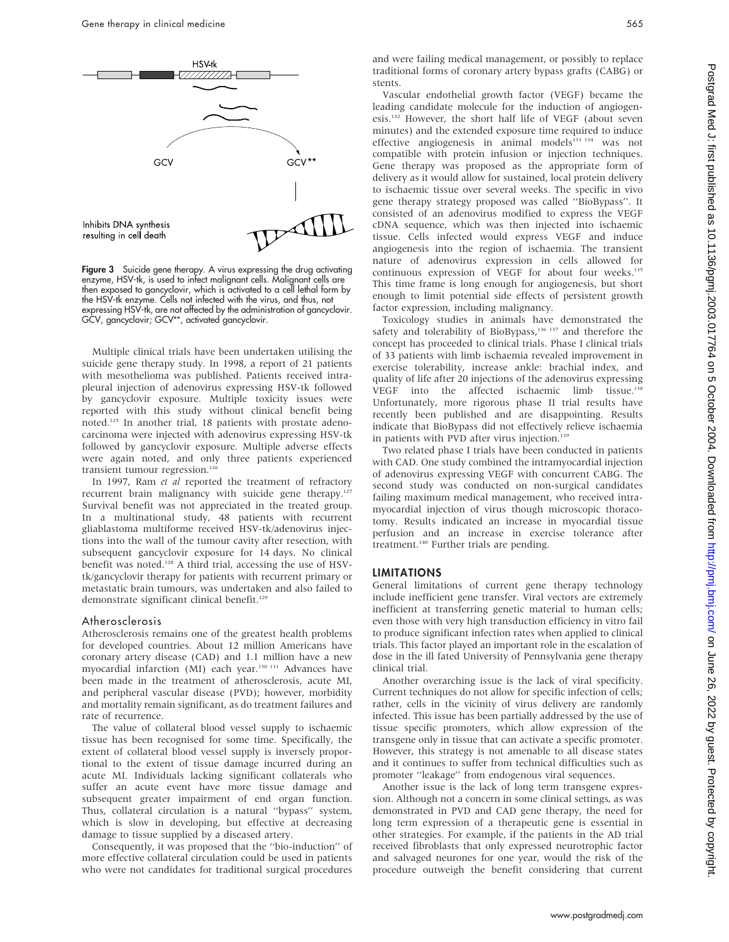

Figure 3 Suicide gene therapy. A virus expressing the drug activating enzyme, HSV-tk, is used to infect malignant cells. Malignant cells are then exposed to gancyclovir, which is activated to a cell lethal form by the HSV-tk enzyme. Cells not infected with the virus, and thus, not expressing HSV-tk, are not affected by the administration of gancyclovir. GCV, gancyclovir; GCV\*\*, activated gancyclovir.

Multiple clinical trials have been undertaken utilising the suicide gene therapy study. In 1998, a report of 21 patients with mesothelioma was published. Patients received intrapleural injection of adenovirus expressing HSV-tk followed by gancyclovir exposure. Multiple toxicity issues were reported with this study without clinical benefit being noted.125 In another trial, 18 patients with prostate adenocarcinoma were injected with adenovirus expressing HSV-tk followed by gancyclovir exposure. Multiple adverse effects were again noted, and only three patients experienced transient tumour regression.<sup>126</sup>

In 1997, Ram et al reported the treatment of refractory recurrent brain malignancy with suicide gene therapy.<sup>127</sup> Survival benefit was not appreciated in the treated group. In a multinational study, 48 patients with recurrent gliablastoma multiforme received HSV-tk/adenovirus injections into the wall of the tumour cavity after resection, with subsequent gancyclovir exposure for 14 days. No clinical benefit was noted.<sup>128</sup> A third trial, accessing the use of HSVtk/gancyclovir therapy for patients with recurrent primary or metastatic brain tumours, was undertaken and also failed to demonstrate significant clinical benefit.<sup>129</sup>

#### Atherosclerosis

Atherosclerosis remains one of the greatest health problems for developed countries. About 12 million Americans have coronary artery disease (CAD) and 1.1 million have a new myocardial infarction (MI) each year.<sup>130 131</sup> Advances have been made in the treatment of atherosclerosis, acute MI, and peripheral vascular disease (PVD); however, morbidity and mortality remain significant, as do treatment failures and rate of recurrence.

The value of collateral blood vessel supply to ischaemic tissue has been recognised for some time. Specifically, the extent of collateral blood vessel supply is inversely proportional to the extent of tissue damage incurred during an acute MI. Individuals lacking significant collaterals who suffer an acute event have more tissue damage and subsequent greater impairment of end organ function. Thus, collateral circulation is a natural ''bypass'' system, which is slow in developing, but effective at decreasing damage to tissue supplied by a diseased artery.

Consequently, it was proposed that the ''bio-induction'' of more effective collateral circulation could be used in patients who were not candidates for traditional surgical procedures and were failing medical management, or possibly to replace traditional forms of coronary artery bypass grafts (CABG) or stents.

Vascular endothelial growth factor (VEGF) became the leading candidate molecule for the induction of angiogenesis.132 However, the short half life of VEGF (about seven minutes) and the extended exposure time required to induce effective angiogenesis in animal models<sup>133 134</sup> was not compatible with protein infusion or injection techniques. Gene therapy was proposed as the appropriate form of delivery as it would allow for sustained, local protein delivery to ischaemic tissue over several weeks. The specific in vivo gene therapy strategy proposed was called ''BioBypass''. It consisted of an adenovirus modified to express the VEGF cDNA sequence, which was then injected into ischaemic tissue. Cells infected would express VEGF and induce angiogenesis into the region of ischaemia. The transient nature of adenovirus expression in cells allowed for continuous expression of VEGF for about four weeks.<sup>135</sup> This time frame is long enough for angiogenesis, but short enough to limit potential side effects of persistent growth factor expression, including malignancy.

Toxicology studies in animals have demonstrated the safety and tolerability of BioBypass,<sup>136</sup> <sup>137</sup> and therefore the concept has proceeded to clinical trials. Phase I clinical trials of 33 patients with limb ischaemia revealed improvement in exercise tolerability, increase ankle: brachial index, and quality of life after 20 injections of the adenovirus expressing VEGF into the affected ischaemic limb tissue.<sup>138</sup> Unfortunately, more rigorous phase II trial results have recently been published and are disappointing. Results indicate that BioBypass did not effectively relieve ischaemia in patients with PVD after virus injection.<sup>139</sup>

Two related phase I trials have been conducted in patients with CAD. One study combined the intramyocardial injection of adenovirus expressing VEGF with concurrent CABG. The second study was conducted on non-surgical candidates failing maximum medical management, who received intramyocardial injection of virus though microscopic thoracotomy. Results indicated an increase in myocardial tissue perfusion and an increase in exercise tolerance after treatment.<sup>140</sup> Further trials are pending.

### LIMITATIONS

General limitations of current gene therapy technology include inefficient gene transfer. Viral vectors are extremely inefficient at transferring genetic material to human cells; even those with very high transduction efficiency in vitro fail to produce significant infection rates when applied to clinical trials. This factor played an important role in the escalation of dose in the ill fated University of Pennsylvania gene therapy clinical trial.

Another overarching issue is the lack of viral specificity. Current techniques do not allow for specific infection of cells; rather, cells in the vicinity of virus delivery are randomly infected. This issue has been partially addressed by the use of tissue specific promoters, which allow expression of the transgene only in tissue that can activate a specific promoter. However, this strategy is not amenable to all disease states and it continues to suffer from technical difficulties such as promoter ''leakage'' from endogenous viral sequences.

Another issue is the lack of long term transgene expression. Although not a concern in some clinical settings, as was demonstrated in PVD and CAD gene therapy, the need for long term expression of a therapeutic gene is essential in other strategies. For example, if the patients in the AD trial received fibroblasts that only expressed neurotrophic factor and salvaged neurones for one year, would the risk of the procedure outweigh the benefit considering that current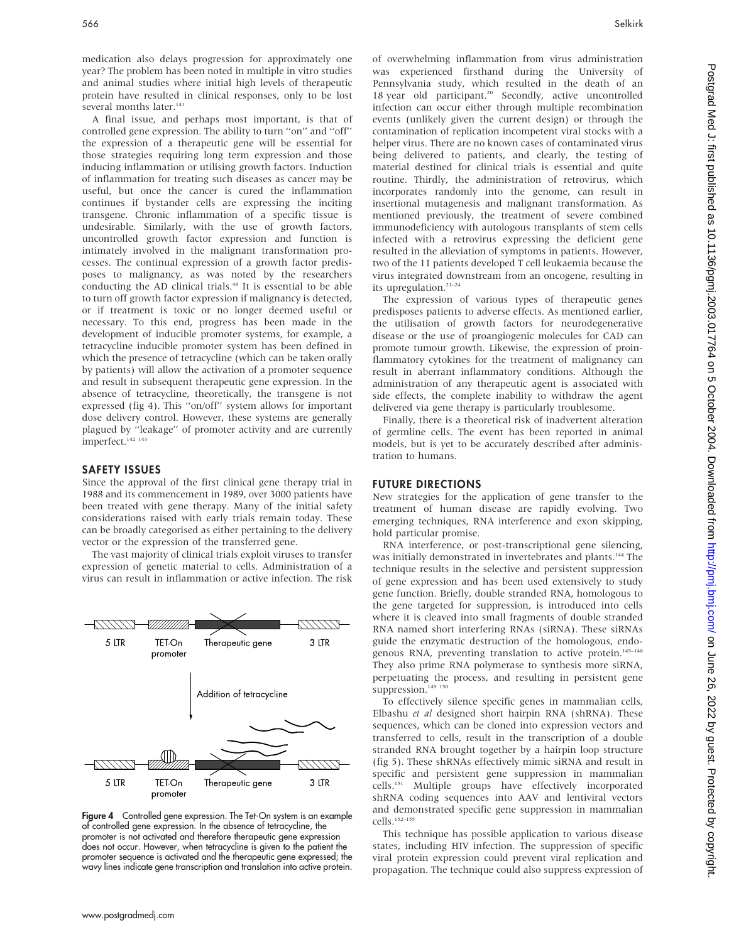medication also delays progression for approximately one year? The problem has been noted in multiple in vitro studies and animal studies where initial high levels of therapeutic protein have resulted in clinical responses, only to be lost several months later.<sup>141</sup>

A final issue, and perhaps most important, is that of controlled gene expression. The ability to turn ''on'' and ''off'' the expression of a therapeutic gene will be essential for those strategies requiring long term expression and those inducing inflammation or utilising growth factors. Induction of inflammation for treating such diseases as cancer may be useful, but once the cancer is cured the inflammation continues if bystander cells are expressing the inciting transgene. Chronic inflammation of a specific tissue is undesirable. Similarly, with the use of growth factors, uncontrolled growth factor expression and function is intimately involved in the malignant transformation processes. The continual expression of a growth factor predisposes to malignancy, as was noted by the researchers conducting the AD clinical trials.<sup>48</sup> It is essential to be able to turn off growth factor expression if malignancy is detected, or if treatment is toxic or no longer deemed useful or necessary. To this end, progress has been made in the development of inducible promoter systems, for example, a tetracycline inducible promoter system has been defined in which the presence of tetracycline (which can be taken orally by patients) will allow the activation of a promoter sequence and result in subsequent therapeutic gene expression. In the absence of tetracycline, theoretically, the transgene is not expressed (fig 4). This ''on/off'' system allows for important dose delivery control. However, these systems are generally plagued by ''leakage'' of promoter activity and are currently imperfect.142 143

#### SAFETY ISSUES

Since the approval of the first clinical gene therapy trial in 1988 and its commencement in 1989, over 3000 patients have been treated with gene therapy. Many of the initial safety considerations raised with early trials remain today. These can be broadly categorised as either pertaining to the delivery vector or the expression of the transferred gene.

The vast majority of clinical trials exploit viruses to transfer expression of genetic material to cells. Administration of a virus can result in inflammation or active infection. The risk



Figure 4 Controlled gene expression. The Tet-On system is an example of controlled gene expression. In the absence of tetracycline, the promoter is not activated and therefore therapeutic gene expression does not occur. However, when tetracycline is given to the patient the promoter sequence is activated and the therapeutic gene expressed; the wavy lines indicate gene transcription and translation into active protein.

of overwhelming inflammation from virus administration was experienced firsthand during the University of Pennsylvania study, which resulted in the death of an 18 year old participant.<sup>20</sup> Secondly, active uncontrolled infection can occur either through multiple recombination events (unlikely given the current design) or through the contamination of replication incompetent viral stocks with a helper virus. There are no known cases of contaminated virus being delivered to patients, and clearly, the testing of material destined for clinical trials is essential and quite routine. Thirdly, the administration of retrovirus, which incorporates randomly into the genome, can result in insertional mutagenesis and malignant transformation. As mentioned previously, the treatment of severe combined immunodeficiency with autologous transplants of stem cells infected with a retrovirus expressing the deficient gene resulted in the alleviation of symptoms in patients. However, two of the 11 patients developed T cell leukaemia because the virus integrated downstream from an oncogene, resulting in its upregulation.<sup>21-24</sup>

The expression of various types of therapeutic genes predisposes patients to adverse effects. As mentioned earlier, the utilisation of growth factors for neurodegenerative disease or the use of proangiogenic molecules for CAD can promote tumour growth. Likewise, the expression of proinflammatory cytokines for the treatment of malignancy can result in aberrant inflammatory conditions. Although the administration of any therapeutic agent is associated with side effects, the complete inability to withdraw the agent delivered via gene therapy is particularly troublesome.

Finally, there is a theoretical risk of inadvertent alteration of germline cells. The event has been reported in animal models, but is yet to be accurately described after administration to humans.

#### FUTURE DIRECTIONS

New strategies for the application of gene transfer to the treatment of human disease are rapidly evolving. Two emerging techniques, RNA interference and exon skipping, hold particular promise.

RNA interference, or post-transcriptional gene silencing, was initially demonstrated in invertebrates and plants.<sup>144</sup> The technique results in the selective and persistent suppression of gene expression and has been used extensively to study gene function. Briefly, double stranded RNA, homologous to the gene targeted for suppression, is introduced into cells where it is cleaved into small fragments of double stranded RNA named short interfering RNAs (siRNA). These siRNAs guide the enzymatic destruction of the homologous, endogenous RNA, preventing translation to active protein.<sup>145-148</sup> They also prime RNA polymerase to synthesis more siRNA, perpetuating the process, and resulting in persistent gene suppression.<sup>149</sup> <sup>150</sup>

To effectively silence specific genes in mammalian cells, Elbashu et al designed short hairpin RNA (shRNA). These sequences, which can be cloned into expression vectors and transferred to cells, result in the transcription of a double stranded RNA brought together by a hairpin loop structure (fig 5). These shRNAs effectively mimic siRNA and result in specific and persistent gene suppression in mammalian cells.<sup>151</sup> Multiple groups have effectively incorporated Multiple groups have effectively incorporated shRNA coding sequences into AAV and lentiviral vectors and demonstrated specific gene suppression in mammalian cells.152–155

This technique has possible application to various disease states, including HIV infection. The suppression of specific viral protein expression could prevent viral replication and propagation. The technique could also suppress expression of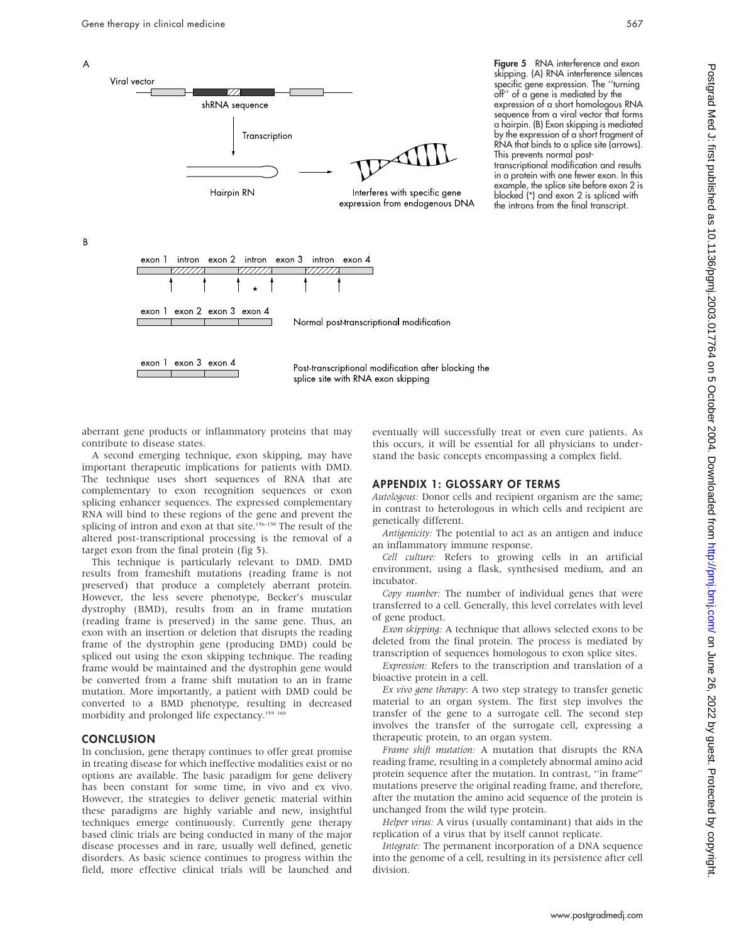

**Figure 5** RNA interference and exon skipping. (A) RNA interference silences specific gene expression. The ''turning off'' of a gene is mediated by the expression of a short homologous RNA sequence from a viral vector that forms a hairpin. (B) Exon skipping is mediated by the expression of a short fragment of RNA that binds to a splice site (arrows). This prevents normal posttranscriptional modification and results

in a protein with one fewer exon. In this example, the splice site before exon 2 is blocked (\*) and exon 2 is spliced with the introns from the final transcript.

 $\overline{B}$ 

aberrant gene products or inflammatory proteins that may contribute to disease states.

exon 3 exon 4

exon 1

A second emerging technique, exon skipping, may have important therapeutic implications for patients with DMD. The technique uses short sequences of RNA that are complementary to exon recognition sequences or exon splicing enhancer sequences. The expressed complementary RNA will bind to these regions of the gene and prevent the splicing of intron and exon at that site.<sup>156–158</sup> The result of the altered post-transcriptional processing is the removal of a target exon from the final protein (fig 5).

This technique is particularly relevant to DMD. DMD results from frameshift mutations (reading frame is not preserved) that produce a completely aberrant protein. However, the less severe phenotype, Becker's muscular dystrophy (BMD), results from an in frame mutation (reading frame is preserved) in the same gene. Thus, an exon with an insertion or deletion that disrupts the reading frame of the dystrophin gene (producing DMD) could be spliced out using the exon skipping technique. The reading frame would be maintained and the dystrophin gene would be converted from a frame shift mutation to an in frame mutation. More importantly, a patient with DMD could be converted to a BMD phenotype, resulting in decreased morbidity and prolonged life expectancy.<sup>159</sup>

#### **CONCLUSION**

In conclusion, gene therapy continues to offer great promise in treating disease for which ineffective modalities exist or no options are available. The basic paradigm for gene delivery has been constant for some time, in vivo and ex vivo. However, the strategies to deliver genetic material within these paradigms are highly variable and new, insightful techniques emerge continuously. Currently gene therapy based clinic trials are being conducted in many of the major disease processes and in rare, usually well defined, genetic disorders. As basic science continues to progress within the field, more effective clinical trials will be launched and

eventually will successfully treat or even cure patients. As this occurs, it will be essential for all physicians to understand the basic concepts encompassing a complex field.

#### APPENDIX 1: GLOSSARY OF TERMS

Post transcriptional modification after blocking the

splice site with RNA exon skipping

Autologous: Donor cells and recipient organism are the same; in contrast to heterologous in which cells and recipient are genetically different.

Antigenicity: The potential to act as an antigen and induce an inflammatory immune response.

Cell culture: Refers to growing cells in an artificial environment, using a flask, synthesised medium, and an incubator.

Copy number: The number of individual genes that were transferred to a cell. Generally, this level correlates with level of gene product.

Exon skipping: A technique that allows selected exons to be deleted from the final protein. The process is mediated by transcription of sequences homologous to exon splice sites.

Expression: Refers to the transcription and translation of a bioactive protein in a cell.

Ex vivo gene therapy: A two step strategy to transfer genetic material to an organ system. The first step involves the transfer of the gene to a surrogate cell. The second step involves the transfer of the surrogate cell, expressing a therapeutic protein, to an organ system.

Frame shift mutation: A mutation that disrupts the RNA reading frame, resulting in a completely abnormal amino acid protein sequence after the mutation. In contrast, ''in frame'' mutations preserve the original reading frame, and therefore, after the mutation the amino acid sequence of the protein is unchanged from the wild type protein.

Helper virus: A virus (usually contaminant) that aids in the replication of a virus that by itself cannot replicate.

Integrate: The permanent incorporation of a DNA sequence into the genome of a cell, resulting in its persistence after cell division.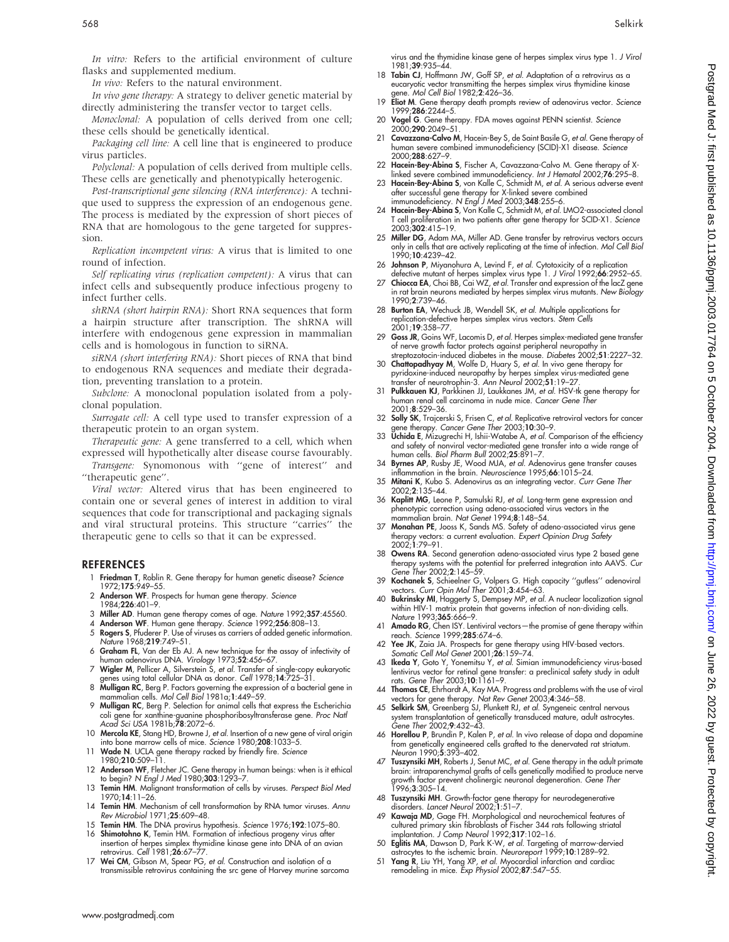In vivo: Refers to the natural environment.

In vivo gene therapy: A strategy to deliver genetic material by directly administering the transfer vector to target cells.

Monoclonal: A population of cells derived from one cell; these cells should be genetically identical.

Packaging cell line: A cell line that is engineered to produce virus particles.

Polyclonal: A population of cells derived from multiple cells. These cells are genetically and phenotypically heterogenic.

Post-transcriptional gene silencing (RNA interference): A technique used to suppress the expression of an endogenous gene. The process is mediated by the expression of short pieces of RNA that are homologous to the gene targeted for suppression.

Replication incompetent virus: A virus that is limited to one round of infection.

Self replicating virus (replication competent): A virus that can infect cells and subsequently produce infectious progeny to infect further cells.

shRNA (short hairpin RNA): Short RNA sequences that form a hairpin structure after transcription. The shRNA will interfere with endogenous gene expression in mammalian cells and is homologous in function to siRNA.

siRNA (short interfering RNA): Short pieces of RNA that bind to endogenous RNA sequences and mediate their degradation, preventing translation to a protein.

Subclone: A monoclonal population isolated from a polyclonal population.

Surrogate cell: A cell type used to transfer expression of a therapeutic protein to an organ system.

Therapeutic gene: A gene transferred to a cell, which when expressed will hypothetically alter disease course favourably.

Transgene: Synomonous with ''gene of interest'' and ''therapeutic gene''.

Viral vector: Altered virus that has been engineered to contain one or several genes of interest in addition to viral sequences that code for transcriptional and packaging signals and viral structural proteins. This structure ''carries'' the therapeutic gene to cells so that it can be expressed.

#### REFERENCES

- 1 Friedman T, Roblin R. Gene therapy for human genetic disease? Science 1972;175:949–55.
- 2 Anderson WF. Prospects for human gene therapy. Science 1984;226:401–9.
- 3 Miller AD. Human gene therapy comes of age. Nature 1992;357:45560.
- 4 Anderson WF. Human gene therapy. Science 1992;256:808–13.
- 5 Rogers S, Pfuderer P. Use of viruses as carriers of added genetic information. Nature 1968;219:749–51.
- 6 Graham FL, Van der Eb AJ. A new technique for the assay of infectivity of human adenovirus DNA. Virology 1973;52:456–67.
- 7 Wigler M, Pellicer A, Silverstein S, et al. Transfer of single-copy eukaryotic nes using total cellular DNA as donor. Cell 1978;14:725-31.
- 8 Mulligan RC, Berg P. Factors governing the expression of a bacterial gene in mammalian cells. Mol Cell Biol 1981a;1:449–59.
- 9 Mulligan RC, Berg P. Selection for animal cells that express the Escherichia coli gene for xanthine-guanine phosphoribosyltransferase gene. Proc Natl Acad Sci USA 1981b;78:2072–6.
- 10 Mercola KE, Stang HD, Browne J, et al. Insertion of a new gene of viral origin into bone marrow cells of mice. Science 1980;208:1033–5.
- 11 Wade N. UCLA gene therapy racked by friendly fire. Science 1980;210:509–11.
- 12 Anderson WF, Fletcher JC. Gene therapy in human beings: when is it ethical to begin? N Engl J Med 1980;303:1293–7.
- 13 Temin HM. Malignant transformation of cells by viruses. Perspect Biol Med 1970;14:11–26.
- 14 Temin HM. Mechanism of cell transformation by RNA tumor viruses. Annu Rev Microbiol 1971;25:609–48.
- 15 Temin HM. The DNA provirus hypothesis. Science 1976;192:1075–80. 16 Shimotohno K, Temin HM. Formation of infectious progeny virus after
- insertion of herpes simplex thymidine kinase gene into DNA of an avian retrovirus. Cell 1981;26:67–77.
- 17 Wei CM, Gibson M, Spear PG, et al. Construction and isolation of a transmissible retrovirus containing the src gene of Harvey murine sarcoma

virus and the thymidine kinase gene of herpes simplex virus type 1. J Virol 1981;39:935–44.

- 18 Tabin CJ, Hoffmann JW, Goff SP, et al. Adaptation of a retrovirus as a eucaryotic vector transmitting the herpes simplex virus thymidine kinase gene. Mol Cell Biol 1982;2:426–36.
- 19 Eliot M. Gene therapy death prompts review of adenovirus vector. Science 1999;286:2244–5.
- 20 Vogel G. Gene therapy. FDA moves against PENN scientist. Science 2000;290:2049–51.
- 21 Cavazzana-Calvo M, Hacein-Bey S, de Saint Basile G, et al. Gene therapy of human severe combined immunodeficiency (SCID)-X1 disease. Science 2000;288:627–9.
- 22 Hacein-Bey-Abina S, Fischer A, Cavazzana-Calvo M. Gene therapy of X-
- linked severe combined immunodeficiency. Int J Hematol 2002;**76**:295–8.<br>23 **Hacein-Bey-Abina S**, von Kalle C, Schmidt M, et al. A serious adverse event<br>after successful gene therapy for X-linked severe combined<br>immunodefic
- 24 Hacein-Bey-Abina S, Von Kalle C, Schmidt M, et al. LMO2-associated clonal T cell proliferation in two patients after gene therapy for SCID-X1. Science 2003;302:415–19.
- 25 Miller DG, Adam MA, Miller AD. Gene transfer by retrovirus vectors occurs only in cells that are actively replicating at the time of infection. Mol Cell Biol 1990;10:4239–42.
- 
- 26 **Johnson P**, Miyanohura A, Levind F, *et al.* Cytotoxicity of a replication<br>defective mutant of herpes simplex virus type 1. *J Virol* 1992;**66**:2952–65.<br>27 **Chiocca EA**, Choi BB, Cai WZ, *et al.* Transfer and expressio in rat brain neurons mediated by herpes simplex virus mutants. New Biology 1990;2:739–46.
- 28 Burton EA, Wechuck JB, Wendell SK, et al. Multiple applications for replication-defective herpes simplex virus vectors. Stem Cells 2001;19:358–77.
- 29 Goss JR, Goins WF, Lacomis D, et al. Herpes simplex-mediated gene transfer of nerve growth factor protects against peripheral neuropathy in<br>streptozotocin-induced diabetes in the mouse. *Diabetes* 2002;**51**:2227–32.
- 30 Chattopadhyay M, Wolfe D, Huary S, et al. In vivo gene therapy for pyridoxine-induced neuropathy by herpes simplex virus-mediated gene ransfer of neurotrophin-3. Ann Neurol 2002;51:19–27
- 31 Pulkkauen KJ, Parkkinen JJ, Laukkanes JM, et al. HSV-tk gene therapy for human renal cell carcinoma in nude mice. Cancer Gene Ther 2001;8:529–36.
- 32 Solly SK, Trajcerski S, Frisen C, et al. Replicative retroviral vectors for cancer ene therapy. Cancer Gene Ther 2003;10:30-9.
- 33 Uchida E, Mizugrechi H, Ishii-Watabe A, et al. Comparison of the efficiency and safety of nonviral vector-mediated gene transfer into a wide range of human cells. Biol Pharm Bull 2002;25:891–7.
- 34 Byrnes AP, Rusby JE, Wood MJA, et al. Adenovirus gene transfer causes inflammation in the brain. Neuroscience 1995;66:1015–24.
- 35 Mitani K, Kubo S. Adenovirus as an integrating vector. Curr Gene Ther 2002;2:135–44.
- 36 Kaplitt MG, Leone P, Samulski RJ, et al. Long-term gene expression and phenotypic correction using adeno-associated virus vectors in the mammalian brain. Nat Genet 1994;8:148–54.
- 37 Monahan PE, Jooss K, Sands MS. Safety of adeno-associated virus gene therapy vectors: a current evaluation. Expert Opinion Drug Safety  $2002 \cdot 1.79 - 91$
- 38 Owens RA. Second generation adeno-associated virus type 2 based gene therapy systems with the potential for preferred integration into AAVS. Cur Gene Ther 2002;2:145–59.
- 39 Kochanek S, Schieelner G, Volpers G. High capacity ''gutless'' adenoviral vectors. Curr Opin Mol Ther 2001;3:454–63.
- 40 Bukrinsky MI, Haggerty S, Dempsey MP, et al. A nuclear localization signal within HIV-1 matrix protein that governs infection of non-dividing cells. Nature 1993;365:666–9.
- 41 **Amado RG**, Chen ISY. Lentiviral vectors—the promise of gene therapy within reach. Science 1999;285:674–6.
- 42 Yee JK, Zaia JA. Prospects for gene therapy using HIV-based vectors. Somatic Cell Mol Genet 2001;26:159–74.
- 43 Ikeda Y, Goto Y, Yonemitsu Y, et al. Simian immunodeficiency virus-based lentivirus vector for retinal gene transfer: a preclinical safety study in adult rats. Gene Ther 2003;10:1161–9.
- 44 Thomas CE, Ehrhardt A, Kay MA. Progress and problems with the use of viral vectors for gene therapy. Nat Rev Genet 2003;4:346–58.
- 45 Selkirk SM, Greenberg SJ, Plunkett RJ, et al. Syngeneic central nervous system transplantation of genetically transduced mature, adult astrocytes. Gene Ther 2002;9:432–43.
- 46 Horellou P, Brundin P, Kalen P, et al. In vivo release of dopa and dopamine from genetically engineered cells grafted to the denervated rat striatum. Neuron 1990;5:393–402.
- 47 Tuszynsiki MH, Roberts J, Senut MC, et al. Gene therapy in the adult primate brain: intraparenchymal grafts of cells genetically modified to produce nerve growth factor prevent cholinergic neuronal degeneration. Gene Ther 1996;3:305–14.
- 48 Tuszynsiki MH. Growth-factor gene therapy for neurodegenerative disorders. Lancet Neurol 2002;1:51–7.
- 49 Kawaja MD, Gage FH. Morphological and neurochemical features of cultured primary skin fibroblasts of Fischer 344 rats following striatal implantation. J Comp Neurol 1992;317:102-16.
- 50 Eglitis MA, Dawson D, Park K-W, et al. Targeting of marrow-dervied
- astrocytes to the ischemic brain. Neuroreport 1999;10:1289–92.<br>51 Yang R, Liu YH, Yang XP, et al. Myocardial infarction and cardiac<br>remodeling in mice. Exp Physiol 2002;87:547–55.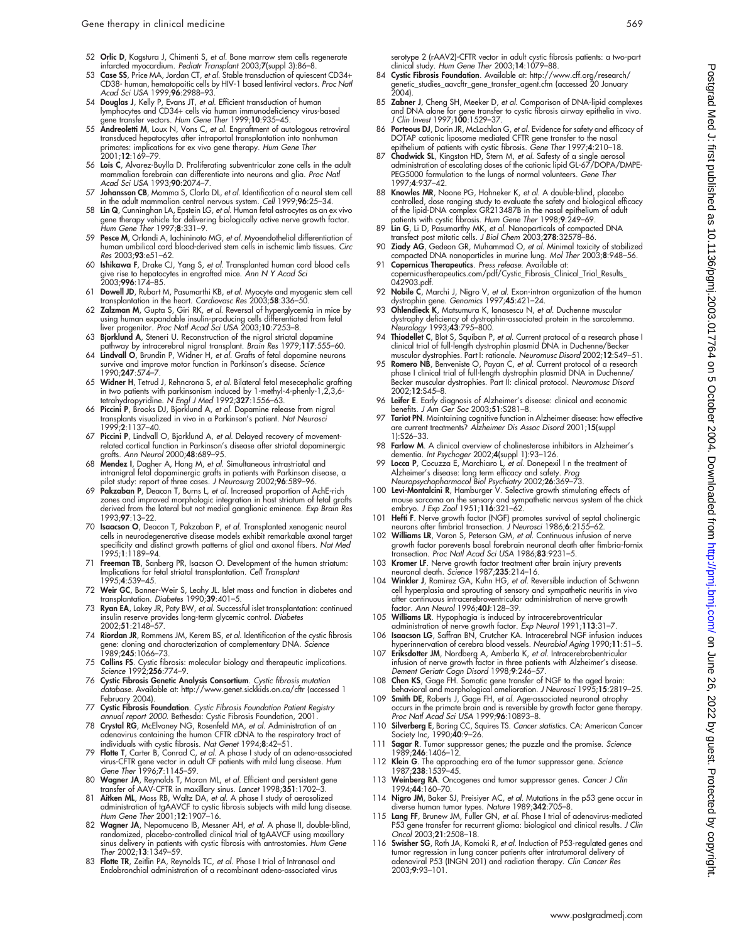- 52 Orlic D, Kagstura J, Chimenti S, et al. Bone marrow stem cells regenerate
- infarcted myocardium. Pediatr Transplant 2003;7(suppl 3):86–8. 53 Case SS, Price MA, Jordan CT, et al. Stable transduction of quiescent CD34+ CD38- human, hematopoitic cells by HIV-1 based lentiviral vectors. Proc Natl Acad Sci USA 1999;96:2988–93.
- 54 Douglas J, Kelly P, Evans JT, et al. Efficient transduction of human lymphocytes and CD34+ cells via human immunodeficiency virus-based ene transfer vectors. Hum Gene Ther 1999;10:935-45.
- 55 Andreoletti M, Loux N, Vons C, et al. Engraftment of autologous retroviral transduced hepatocytes after intraportal transplantation into nonhuman primates: implications for ex vivo gene therapy. Hum Gene Ther  $2001;12:169-79.$
- 56 Lois C, Alvarez-Buylla D. Proliferating subventricular zone cells in the adult mammalian forebrain can differentiate into neurons and glia. Proc Natl Acad Sci USA 1993;90:2074–7.
- 57 Johansson CB, Momma S, Clarla DL, et al. Identification of a neural stem cell in the adult mammalian central nervous system. Cell 1999;96:25–34.
- 58 Lin Q, Cunninghan LA, Epstein LG, et al. Human fetal astrocytes as an ex vivo gene therapy vehicle for delivering biologically active nerve growth factor. Hum Gene Ther 1997;8:331–9.
- 59 Pesce M, Orlandi A, Iachininoto MG, et al. Myoendothelial differentiation of human umbilical cord blood-derived stem cells in ischemic limb tissues. Circ Res 2003;93:e51–62.
- 60 Ishikawa F, Drake CJ, Yang S, et al. Transplanted human cord blood cells give rise to hepatocytes in engrafted mice. Ann N Y Acad Sci 2003;996:174–85.
- 61 Dowell JD, Rubart M, Pasumarthi KB, et al. Myocyte and myogenic stem cell transplantation in the heart. Cardiovasc Res 2003;58:336–50.
- 62 Zalzman M, Gupta S, Giri RK, *et al.* Reversal of hyperglycemia in mice by<br>using human expandable insulin-producing cells differentiated from fetal<br>liver progenitor. *Proc Natl Acad Sci USA* 2003;10:7253–8.<br>**63 Bjorklun**
- pathway by intracerebral nigral transplant. *Brain Res* 1979;117:555–60.<br>64 **Lindvall O**, Brundin P, Widner H, *et al.* Grafts of fetal dopamine neurons
- survive and improve motor function in Parkinson's disease. Science 1990;247:574–7.
- 65 Widner H, Tetrud J, Rehncrona S, et al. Bilateral fetal mesecephalic grafting in two patients with parkinsonism induced by 1-methyl-4-phenly-1,2,3,6-<br>tetrahydropyridine. N *Engl J Med* 1992;**327**:1556–63.<br>66 **Piccini P**, Brooks DJ, Bjorklund A, *et al.* Dopamine release from nigral
- transplants visualized in vivo in a Parkinson's patient. Nat Neurosci 1999;2:1137–40.
- 67 Piccini P, Lindvall O, Bjorklund A, et al. Delayed recovery of movementrelated cortical function in Parkinson's disease after striatal dopaminergic grafts. Ann Neurol 2000;48:689-95.
- 68 Mendez I, Dagher A, Hong M, et al. Simultaneous intrastriatal and intranigral fetal dopaminergic grafts in patients with Parkinson disease, a<br>pilot study: report of three cases. *J Neurosurg* 2002;**96**:589–96.<br>69 **Pakzaban P**, Deacon T, Burns L, *et al.* Increased proportion of AchE-rich
- zones and improved morphologic integration in host striatum of fetal grafts derived from the lateral but not medial ganglionic eminence. Exp Brain Res 1993;97:13–22.
- 70 Isaacson O, Deacon T, Pakzaban P, et al. Transplanted xenogenic neural cells in neurodegenerative disease models exhibit remarkable axonal targe specificity and distinct growth patterns of glial and axonal fibers. Nat Med 1995;1:1189–94.
- 71 Freeman TB, Sanberg PR, Isacson O. Development of the human striatum: Implications for fetal striatal transplantation. Cell Transplant 1995;4:539–45.
- 72 Weir GC, Bonner-Weir S, Leahy JL. Islet mass and function in diabetes and transplantation. Diabetes 1990;39:401–5.
- 73 Ryan EA, Lakey JR, Paty BW, et al. Successful islet transplantation: continued insulin reserve provides long-term glycemic control. Diabetes 2002;51:2148–57.
- 74 Riordan JR, Rommens JM, Kerem BS, et al. Identification of the cystic fibrosis gene: cloning and characterization of complementary DNA. *Science*<br>1989;**245**:1066–73.
- 75 Collins FS. Cystic fibrosis: molecular biology and therapeutic implications.
- database. Available at: http://www.genet.sickkids.on.ca/cftr (accessed 1 February 2004).
- 77 **Cystic Fibrosis Foundation**. Cystic Fibrosis Foundation Patient Registry<br>annual report 2000. Bethesda: Cystic Fibrosis Foundation, 2001.<br>78 **Crystal RG**, McElvaney NG, Rosenfeld MA, *et al.* Administration of an
- adenovirus containing the human CFTR cDNA to the respiratory tract of individuals with cystic fibrosis. Nat Genet 1994;8:42–51.
- 79 Flotte T, Carter B, Conrad C, et al. A phase I study of an adeno-associated virus-CFTR gene vector in adult CF patients with mild lung disease. Hum Gene Ther 1996;7:1145-59.
- 80 **Wagner JA**, Reynolds T, Moran ML, *et al.* Efficient and persistent gene<br>transfer of AAV-CFTR in maxillary sinus. Lancet 1998;**35**1.1702–3.<br>81 A**irken ML**, Moss RB, Waltz DA, *et al.* A phase I study of aerosolized<br>adm
- Hum Gene Ther 2001;12:1907–16.
- 82 Wagner JA, Nepomuceno IB, Messner AH, et al. A phase II, double-blind, randomized, placebo-controlled clinical trial of tgAAVCF using maxillary sinus delivery in patients with cystic fibrosis with antrostomies. Hum Gene Ther 2002;13:1349–59.
- 83 Flotte TR, Zeitlin PA, Reynolds TC, et al. Phase I trial of Intranasal and Endobronchial administration of a recombinant adeno-associated virus

serotype 2 (rAAV2)-CFTR vector in adult cystic fibrosis patients: a two-part clinical study. Hum Gene Ther 2003;14:1079–88.

- 84 Cystic Fibrosis Foundation. Available at: http://www.cff.org/research/ genetic\_studies\_aavcftr\_gene\_transfer\_agent.cfm (accessed 20 January 2004).
- 85 **Zabner J**, Cheng SH, Meeker D, *et al.* Comparison of DNA-lipid complexes and DNA alone for gene transfer to cystic fibrosis airway epithelia in vivo.<br>J Clin Invest 1997;**100**:1529–37.
- 86 Porteous DJ, Dorin JR, McLachlan G, et al. Evidence for safety and efficacy of DOTAP cationic liposome mediated CFTR gene transfer to the nasal epithelium of patients with cystic fibrosis. Gene Ther 1997;4:210–18.
- 87 Chadwick SL, Kingston HD, Stern M, et al. Safesty of a single aerosol administration of escalating doses of the cationic lipid GL-67/DOPA/DMPE-PEG5000 formulation to the lungs of normal volunteers. Gene Ther 1997;4:937–42.
- 88 Knowles MR, Noone PG, Hohneker K, et al. A double-blind, placebo controlled, dose ranging study to evaluate the safety and biological efficacy of the lipid-DNA complex GR213487B in the nasal epithelium of adult patients with cystic fibrosis. Hum Gene Ther 1998;9:249–69.
- 89 Lin G, Li D, Pasumarthy MK, et al. Nanoparticals of compacted DNA transfect post mitotic cells. J Biol Chem 2003;278:32578–86.
- 90 Ziady AG, Gedeon GR, Muhammad O, et al. Minimal toxicity of stabilized compacted DNA nanoparticles in murine lung. Mol Ther 2003;8:948–56. 91 Copernicus Therapeutics. Press release. Available at:
- copernicustherapeutics.com/pdf/Cystic\_Fibrosis\_Clinical\_Trial\_Results\_ 042903.pdf.
- 92 Nobile C, Marchi J, Nigro V, et al. Exon-intron organization of the human dystrophin gene. Genomics 1997;45:421–24.
- 93 Ohlendieck K, Matsumura K, Ionasescu N, et al. Duchenne muscular dystrophy deficiency of dystrophin-associated protein in the sarcolemma.<br>Neurology 1993;4**3**:795–800.<br>94 **Thiodellet C**, Blot S, Squiban P, *et al.* Current protocol of a research phase I
- clinical trial of tull-length dystrophin plasmid DNA in Duchenne/Becker<br>muscular dystrophies. Part I: rationale. Neuromusc Disord 2002;**12**:S49–51.
- 95 Romero NB, Benveniste O, Payan C, et al. Current protocol of a research phase I clinical trial of full-length dystrophin plasmid DNA in Duchenne/ Becker muscular dystrophies. Part II: clinical protocol. Neuromusc Disord 2002;12:S45–8.
- 96 Leifer E. Early diagnosis of Alzheimer's disease: clinical and economic benefits. J Am Ger Soc 2003;51:S281–8.
- 97 Tariot PN. Maintaining cognitive function in Alzheimer disease: how effective are current treatments? Alzheimer Dis Assoc Disord 2001;15(suppl 1):S26–33.
- 98 Farlow M. A clinical overview of cholinesterase inhibitors in Alzheimer's dementia. Int Psychoger 2002;4(suppl 1):93–126.
- 99 **Locca P**, Cocuzza E, Marchiaro L, *et al.* Donepexil I n the treatment of<br>Alzheimer's disease: long term efficacy and safety. *Prog*<br>Neuropsychopharmocol Biol Psychiatry 2002;**26**:369-73.<br>**100 Levi-Montalcini R**, Hambu
- embryo. J Exp Zool 1951;116:321-62.
- 101 Hefti F. Nerve growth factor (NGF) promotes survival of septal cholinergic neurons after fimbrial transection. J Neurosci 1986;6:2155–62.
- 102 Williams LR, Varon S, Peterson GM, et al. Continuous infusion of nerve growth factor porevents basal forebrain neuronal death after fimbria-fornix transection. Proc Natl Acad Sci USA 1986;83:9231-5.
- 103 Kromer LF. Nerve growth factor treatment after brain injury prevents neuronal death. Science 1987;235:214–16.
- 104 Winkler J, Ramirez GA, Kuhn HG, et al. Reversible induction of Schwann cell hyperplasia and sprouting of sensory and sympathetic neuritis in vivo after continuous intracerebroventricular administration of nerve growth factor. Ann Neurol 1996;40J:128–39.
- 105 W**illiams LR**. Hypophagia is induced by intracerebroventricular<br>| administration of nerve growth factor. *Exp Neurol* 1991;**113**:31–7.<br>| 106 **Isaacson LG**, Saffran BN, Crutcher KA. Intracerebral NGF infusion induces
- hyperinnervation of cerebra blood vessels. Neurobiol Aging 1990;11:51–5.
- 107 **Eriksdotter JM**, Nordberg A, Amberla K, *et al.* Intracerebrobentricular<br>infusion of nerve growth factor in three patients with Alzheimer's disease. Dement Geriatr Cogn Disord 1998;9:246–57.
- 108 Chen KS, Gage FH. Somatic gene transfer of NGF to the aged brain: behavioral and morphological amelioration. J Neurosci 1995;15:2819–25.
- 109 Smith DE, Roberts J, Gage FH, et al. Age-associated neuronal atrophy occurs in the primate brain and is reversible by growth factor gene therapy. Proc Natl Acad Sci USA 1999;96:10893–8.
- 110 Silverberg E, Boring CC, Squires TS. Cancer statistics. CA: American Cancer Society Inc, 1990;40:9-26.
- 111 Sagar R. Tumor suppressor genes; the puzzle and the promise. Science 1989;246:1406–12.
- 112 Klein G. The approaching era of the tumor suppressor gene. Science 1987;238:1539–45.
- 113 Weinberg RA. Oncogenes and tumor suppressor genes. *Cancer J Clin*<br>1994;4**4**:160–70.
- 114 Nigro JM, Baker SJ, Preisiyer AC, et al. Mutations in the p53 gene occur in diverse human tumor types. Nature 1989;**342**:705–8.<br>115 **Lang FF**, Brunew JM, Fuller GN, *et al.* Phase I trial of adenovirus-mediated
- P53 gene transfer for recurrent glioma: biological and clinical results. J Clin Oncol 2003;21:2508–18.
- 116 Swisher SG, Roth JA, Komaki R, et al. Induction of P53-regulated genes and tumor regression in lung cancer patients after intratumoral delivery of adenoviral P53 (INGN 201) and radiation therapy. Clin Cancer Res 2003;9:93–101.

Science 1992;**256**:774–9. 76 Cystic Fibrosis Genetic Analysis Consortium. Cystic fibrosis mutation